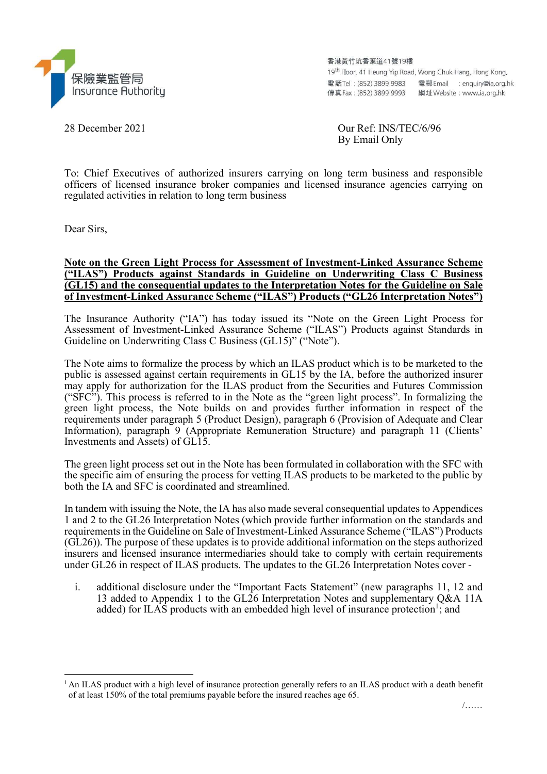

香港黃竹坑香葉道41號19樓

19<sup>th</sup> Floor, 41 Heung Yip Road, Wong Chuk Hang, Hong Kong. 

28 December 2021 Our Ref: INS/TEC/6/96 By Email Only

To: Chief Executives of authorized insurers carrying on long term business and responsible officers of licensed insurance broker companies and licensed insurance agencies carrying on regulated activities in relation to long term business

Dear Sirs,

## Note on the Green Light Process for Assessment of Investment-Linked Assurance Scheme ("ILAS") Products against Standards in Guideline on Underwriting Class C Business (GL15) and the consequential updates to the Interpretation Notes for the Guideline on Sale of Investment-Linked Assurance Scheme ("ILAS") Products ("GL26 Interpretation Notes")

The Insurance Authority ("IA") has today issued its "Note on the Green Light Process for Assessment of Investment-Linked Assurance Scheme ("ILAS") Products against Standards in Guideline on Underwriting Class C Business (GL15)" ("Note").

The Note aims to formalize the process by which an ILAS product which is to be marketed to the public is assessed against certain requirements in GL15 by the IA, before the authorized insurer may apply for authorization for the ILAS product from the Securities and Futures Commission ("SFC"). This process is referred to in the Note as the "green light process". In formalizing the green light process, the Note builds on and provides further information in respect of the requirements under paragraph 5 (Product Design), paragraph 6 (Provision of Adequate and Clear Information), paragraph 9 (Appropriate Remuneration Structure) and paragraph 11 (Clients' Investments and Assets) of GL15.

The green light process set out in the Note has been formulated in collaboration with the SFC with the specific aim of ensuring the process for vetting ILAS products to be marketed to the public by both the IA and SFC is coordinated and streamlined.

In tandem with issuing the Note, the IA has also made several consequential updates to Appendices 1 and 2 to the GL26 Interpretation Notes (which provide further information on the standards and requirements in the Guideline on Sale of Investment-Linked Assurance Scheme ("ILAS") Products (GL26)). The purpose of these updates is to provide additional information on the steps authorized insurers and licensed insurance intermediaries should take to comply with certain requirements under GL26 in respect of ILAS products. The updates to the GL26 Interpretation Notes cover -

i. additional disclosure under the "Important Facts Statement" (new paragraphs 11, 12 and 13 added to Appendix 1 to the GL26 Interpretation Notes and supplementary Q&A 11A added) for ILAS products with an embedded high level of insurance protection<sup>1</sup>; and

<sup>&</sup>lt;sup>1</sup>An ILAS product with a high level of insurance protection generally refers to an ILAS product with a death benefit of at least 150% of the total premiums payable before the insured reaches age 65.